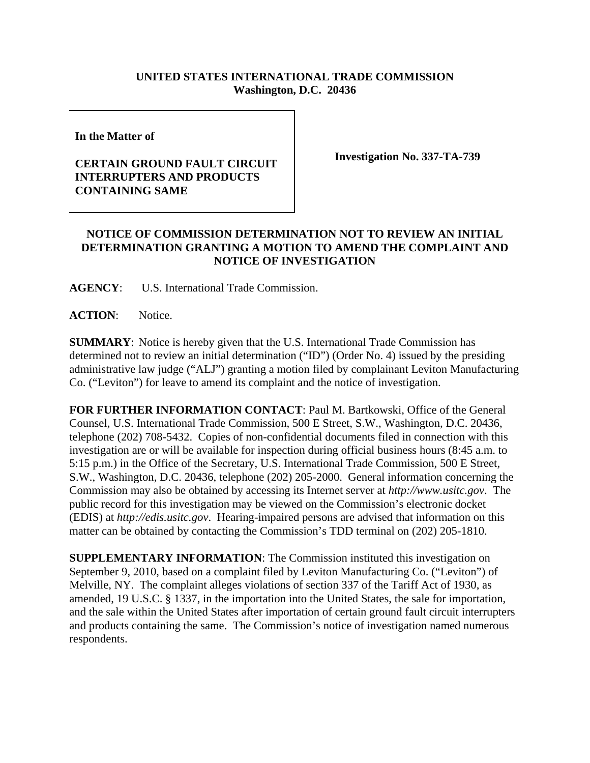## **UNITED STATES INTERNATIONAL TRADE COMMISSION Washington, D.C. 20436**

**In the Matter of** 

## **CERTAIN GROUND FAULT CIRCUIT INTERRUPTERS AND PRODUCTS CONTAINING SAME**

**Investigation No. 337-TA-739**

## **NOTICE OF COMMISSION DETERMINATION NOT TO REVIEW AN INITIAL DETERMINATION GRANTING A MOTION TO AMEND THE COMPLAINT AND NOTICE OF INVESTIGATION**

**AGENCY**: U.S. International Trade Commission.

**ACTION**: Notice.

**SUMMARY**: Notice is hereby given that the U.S. International Trade Commission has determined not to review an initial determination ("ID") (Order No. 4) issued by the presiding administrative law judge ("ALJ") granting a motion filed by complainant Leviton Manufacturing Co. ("Leviton") for leave to amend its complaint and the notice of investigation.

**FOR FURTHER INFORMATION CONTACT**: Paul M. Bartkowski, Office of the General Counsel, U.S. International Trade Commission, 500 E Street, S.W., Washington, D.C. 20436, telephone (202) 708-5432. Copies of non-confidential documents filed in connection with this investigation are or will be available for inspection during official business hours (8:45 a.m. to 5:15 p.m.) in the Office of the Secretary, U.S. International Trade Commission, 500 E Street, S.W., Washington, D.C. 20436, telephone (202) 205-2000. General information concerning the Commission may also be obtained by accessing its Internet server at *http://www.usitc.gov*. The public record for this investigation may be viewed on the Commission's electronic docket (EDIS) at *http://edis.usitc.gov*. Hearing-impaired persons are advised that information on this matter can be obtained by contacting the Commission's TDD terminal on (202) 205-1810.

**SUPPLEMENTARY INFORMATION**: The Commission instituted this investigation on September 9, 2010, based on a complaint filed by Leviton Manufacturing Co. ("Leviton") of Melville, NY. The complaint alleges violations of section 337 of the Tariff Act of 1930, as amended, 19 U.S.C. § 1337, in the importation into the United States, the sale for importation, and the sale within the United States after importation of certain ground fault circuit interrupters and products containing the same. The Commission's notice of investigation named numerous respondents.